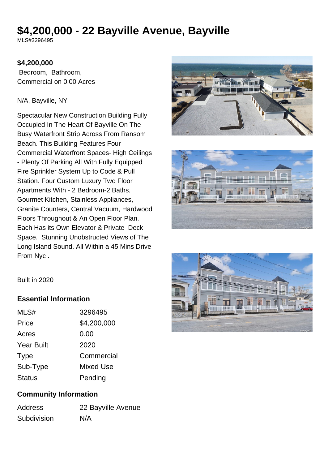# **\$4,200,000 - 22 Bayville Avenue, Bayville**

MLS#3296495

## **\$4,200,000**

 Bedroom, Bathroom, Commercial on 0.00 Acres

#### N/A, Bayville, NY

Spectacular New Construction Building Fully Occupied In The Heart Of Bayville On The Busy Waterfront Strip Across From Ransom Beach. This Building Features Four Commercial Waterfront Spaces- High Ceilings - Plenty Of Parking All With Fully Equipped Fire Sprinkler System Up to Code & Pull Station. Four Custom Luxury Two Floor Apartments With - 2 Bedroom-2 Baths, Gourmet Kitchen, Stainless Appliances, Granite Counters, Central Vacuum, Hardwood Floors Throughout & An Open Floor Plan. Each Has its Own Elevator & Private Deck Space. Stunning Unobstructed Views of The Long Island Sound. All Within a 45 Mins Drive From Nyc .







Built in 2020

## **Essential Information**

| MLS#              | 3296495     |
|-------------------|-------------|
| Price             | \$4,200,000 |
| Acres             | 0.00        |
| <b>Year Built</b> | 2020        |
| <b>Type</b>       | Commercial  |
| Sub-Type          | Mixed Use   |
| <b>Status</b>     | Pending     |

## **Community Information**

| <b>Address</b> | 22 Bayville Avenue |
|----------------|--------------------|
| Subdivision    | N/A                |